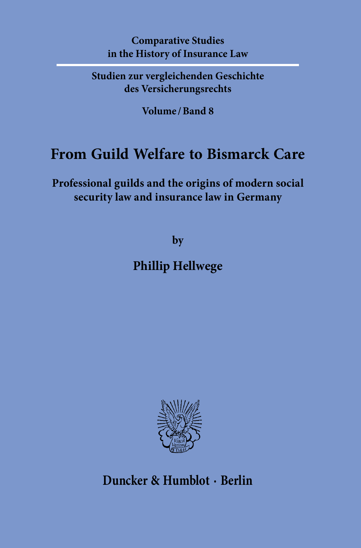### **Comparative Studies in the History of Insurance Law**

**Studien zur vergleichenden Geschichte des Versicherungsrechts**

**Volume / Band 8**

## **From Guild Welfare to Bismarck Care**

**Professional guilds and the origins of modern social security law and insurance law in Germany**

**by**

## **Phillip Hellwege**



**Duncker & Humblot · Berlin**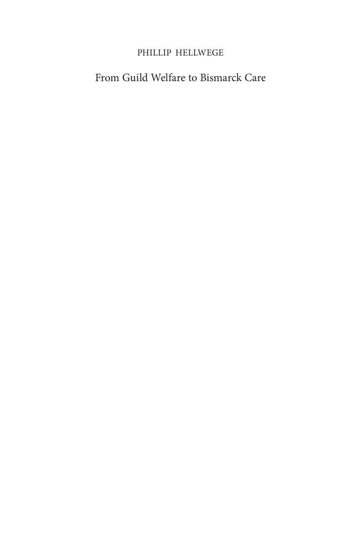### Phillip Hellwege

## From Guild Welfare to Bismarck Care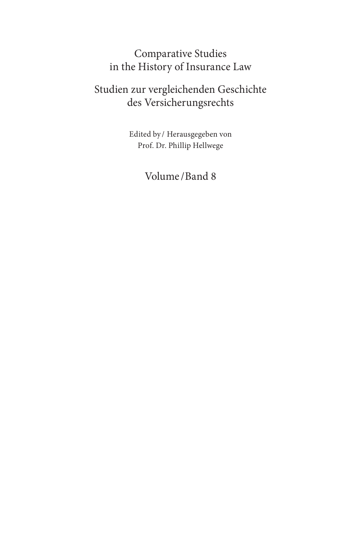## Comparative Studies in the History of Insurance Law

## Studien zur vergleichenden Geschichte des Versicherungsrechts

Edited by / Herausgegeben von Prof. Dr. Phillip Hellwege

Volume /Band 8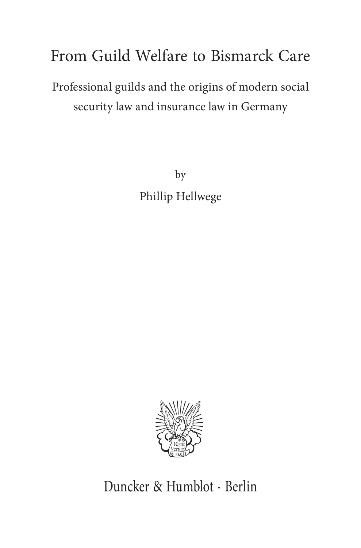# From Guild Welfare to Bismarck Care

# Professional guilds and the origins of modern social security law and insurance law in Germany

by Phillip Hellwege



Duncker & Humblot · Berlin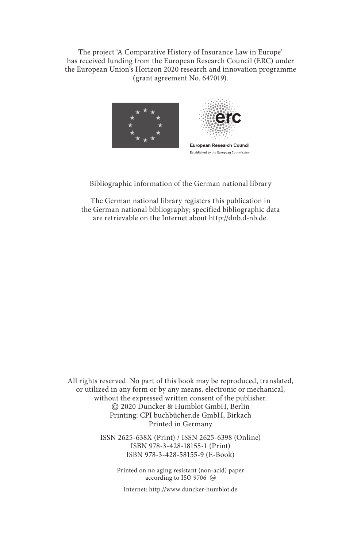The project 'A Comparative History of Insurance Law in Europe' has received funding from the European Research Council (ERC) under the European Union's Horizon 2020 research and innovation programme (grant agreement No. 647019).



Bibliographic information of the German national library

The German national library registers this publication in the German national bibliography; specified bibliographic data are retrievable on the Internet about http://dnb.d-nb.de.

All rights reserved. No part of this book may be reproduced, translated, or utilized in any form or by any means, electronic or mechanical, without the expressed written consent of the publisher. © 2020 Duncker & Humblot GmbH, Berlin Printing: CPI buchbücher.de GmbH, Birkach Printed in Germany

> ISSN 2625-638X (Print) / ISSN 2625-6398 (Online) ISBN 978-3-428-18155-1 (Print) ISBN 978-3-428-58155-9 (E-Book)

> > Printed on no aging resistant (non-acid) paper according to ISO 9706  $\otimes$

Internet: http://www.duncker-humblot.de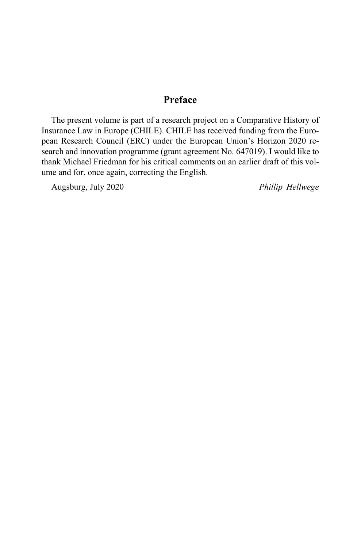### **Preface**

The present volume is part of a research project on a Comparative History of Insurance Law in Europe (CHILE). CHILE has received funding from the European Research Council (ERC) under the European Union's Horizon 2020 research and innovation programme (grant agreement No. 647019). I would like to thank Michael Friedman for his critical comments on an earlier draft of this volume and for, once again, correcting the English.

Augsburg, July 2020 *Phillip Hellwege*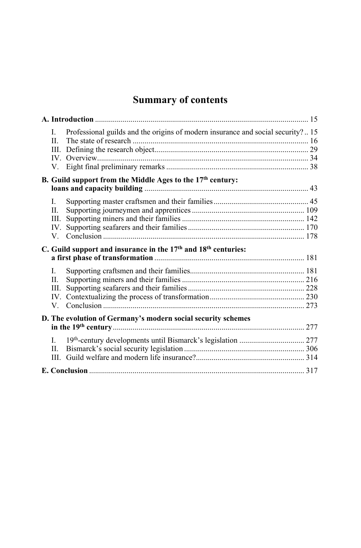## **Summary of contents**

| L.<br>II.<br>V. | Professional guilds and the origins of modern insurance and social security? 15        |  |
|-----------------|----------------------------------------------------------------------------------------|--|
|                 | B. Guild support from the Middle Ages to the 17th century:                             |  |
|                 |                                                                                        |  |
| L.              |                                                                                        |  |
| П.              |                                                                                        |  |
| Ш.              |                                                                                        |  |
| IV.             |                                                                                        |  |
| V.              |                                                                                        |  |
|                 | C. Guild support and insurance in the 17 <sup>th</sup> and 18 <sup>th</sup> centuries: |  |
|                 |                                                                                        |  |
| L.              |                                                                                        |  |
| П.              |                                                                                        |  |
| III.            |                                                                                        |  |
| IV.             |                                                                                        |  |
| $V_{\cdot}$     |                                                                                        |  |
|                 | D. The evolution of Germany's modern social security schemes                           |  |
|                 |                                                                                        |  |
| L.              |                                                                                        |  |
| II.             |                                                                                        |  |
|                 |                                                                                        |  |
|                 |                                                                                        |  |
|                 |                                                                                        |  |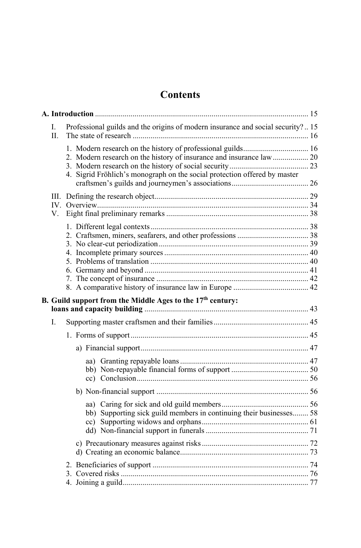### **Contents**

| L<br>$\Pi$ . | Professional guilds and the origins of modern insurance and social security? 15 |  |
|--------------|---------------------------------------------------------------------------------|--|
|              | 1. Modern research on the history of professional guilds 16                     |  |
|              | 2. Modern research on the history of insurance and insurance law  20            |  |
|              |                                                                                 |  |
|              | 4. Sigrid Fröhlich's monograph on the social protection offered by master       |  |
|              |                                                                                 |  |
|              |                                                                                 |  |
|              |                                                                                 |  |
| V.           |                                                                                 |  |
|              |                                                                                 |  |
|              |                                                                                 |  |
|              |                                                                                 |  |
|              |                                                                                 |  |
|              |                                                                                 |  |
|              |                                                                                 |  |
|              |                                                                                 |  |
|              |                                                                                 |  |
|              | B. Guild support from the Middle Ages to the 17 <sup>th</sup> century:          |  |
|              |                                                                                 |  |
| L            |                                                                                 |  |
|              |                                                                                 |  |
|              |                                                                                 |  |
|              |                                                                                 |  |
|              |                                                                                 |  |
|              |                                                                                 |  |
|              |                                                                                 |  |
|              |                                                                                 |  |
|              | bb) Supporting sick guild members in continuing their businesses 58             |  |
|              |                                                                                 |  |
|              |                                                                                 |  |
|              |                                                                                 |  |
|              |                                                                                 |  |
|              |                                                                                 |  |
|              |                                                                                 |  |
|              |                                                                                 |  |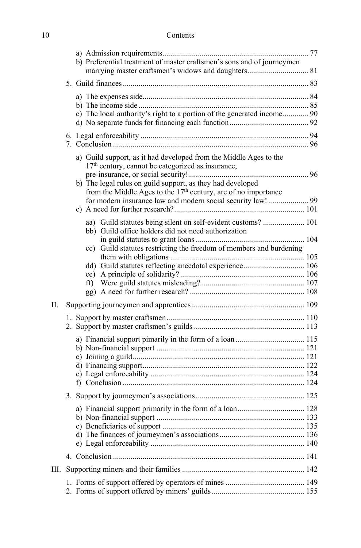### 10 Contents

|     | b) Preferential treatment of master craftsmen's sons and of journeymen                                                                                                                                                                                                                                                                         |  |
|-----|------------------------------------------------------------------------------------------------------------------------------------------------------------------------------------------------------------------------------------------------------------------------------------------------------------------------------------------------|--|
|     |                                                                                                                                                                                                                                                                                                                                                |  |
|     | c) The local authority's right to a portion of the generated income 90                                                                                                                                                                                                                                                                         |  |
|     |                                                                                                                                                                                                                                                                                                                                                |  |
|     | a) Guild support, as it had developed from the Middle Ages to the<br>17 <sup>th</sup> century, cannot be categorized as insurance,<br>b) The legal rules on guild support, as they had developed<br>from the Middle Ages to the 17 <sup>th</sup> century, are of no importance<br>for modern insurance law and modern social security law!  99 |  |
|     | aa) Guild statutes being silent on self-evident customs?  101<br>bb) Guild office holders did not need authorization<br>cc) Guild statutes restricting the freedom of members and burdening                                                                                                                                                    |  |
|     | dd) Guild statutes reflecting anecdotal experience 106                                                                                                                                                                                                                                                                                         |  |
| II. |                                                                                                                                                                                                                                                                                                                                                |  |
|     |                                                                                                                                                                                                                                                                                                                                                |  |
|     | a) Financial support pimarily in the form of a loan  115                                                                                                                                                                                                                                                                                       |  |
|     |                                                                                                                                                                                                                                                                                                                                                |  |
|     |                                                                                                                                                                                                                                                                                                                                                |  |
|     |                                                                                                                                                                                                                                                                                                                                                |  |
| Ш.  |                                                                                                                                                                                                                                                                                                                                                |  |
|     |                                                                                                                                                                                                                                                                                                                                                |  |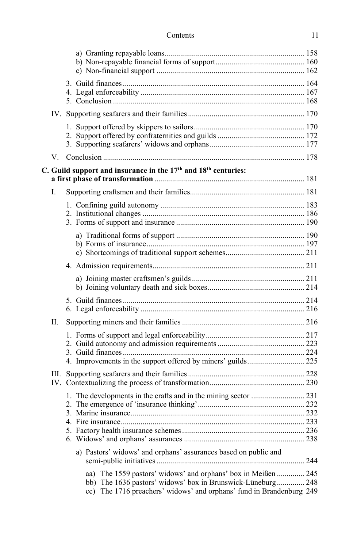| Contents |  |
|----------|--|
|----------|--|

| V. |                                                                                        |  |
|----|----------------------------------------------------------------------------------------|--|
|    | C. Guild support and insurance in the 17 <sup>th</sup> and 18 <sup>th</sup> centuries: |  |
|    |                                                                                        |  |
| L. |                                                                                        |  |
|    |                                                                                        |  |
|    |                                                                                        |  |
|    |                                                                                        |  |
|    |                                                                                        |  |
|    |                                                                                        |  |
|    |                                                                                        |  |
|    |                                                                                        |  |
|    |                                                                                        |  |
|    |                                                                                        |  |
| П. |                                                                                        |  |
|    |                                                                                        |  |
|    |                                                                                        |  |
|    |                                                                                        |  |
|    |                                                                                        |  |
|    |                                                                                        |  |
|    |                                                                                        |  |
|    |                                                                                        |  |
|    |                                                                                        |  |
|    |                                                                                        |  |
|    |                                                                                        |  |
|    |                                                                                        |  |
|    |                                                                                        |  |
|    | a) Pastors' widows' and orphans' assurances based on public and                        |  |
|    | aa) The 1559 pastors' widows' and orphans' box in Meißen  245                          |  |
|    | bb) The 1636 pastors' widows' box in Brunswick-Lüneburg 248                            |  |
|    | cc) The 1716 preachers' widows' and orphans' fund in Brandenburg 249                   |  |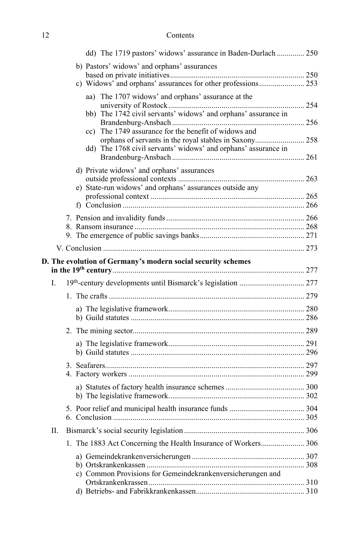| 12 | Contents |
|----|----------|
|----|----------|

|    | dd) The 1719 pastors' widows' assurance in Baden-Durlach  250  |  |
|----|----------------------------------------------------------------|--|
|    | b) Pastors' widows' and orphans' assurances                    |  |
|    |                                                                |  |
|    | c) Widows' and orphans' assurances for other professions 253   |  |
|    | aa) The 1707 widows' and orphans' assurance at the             |  |
|    | bb) The 1742 civil servants' widows' and orphans' assurance in |  |
|    |                                                                |  |
|    | The 1749 assurance for the benefit of widows and<br>$\rm cc)$  |  |
|    | orphans of servants in the royal stables in Saxony 258         |  |
|    | dd) The 1768 civil servants' widows' and orphans' assurance in |  |
|    |                                                                |  |
|    | d) Private widows' and orphans' assurances                     |  |
|    | e) State-run widows' and orphans' assurances outside any       |  |
|    |                                                                |  |
|    |                                                                |  |
|    |                                                                |  |
|    |                                                                |  |
|    |                                                                |  |
|    |                                                                |  |
|    | D. The evolution of Germany's modern social security schemes   |  |
| L. |                                                                |  |
|    |                                                                |  |
|    |                                                                |  |
|    |                                                                |  |
|    |                                                                |  |
|    |                                                                |  |
|    |                                                                |  |
|    |                                                                |  |
|    |                                                                |  |
|    |                                                                |  |
|    |                                                                |  |
| Π. |                                                                |  |
|    | 1. The 1883 Act Concerning the Health Insurance of Workers 306 |  |
|    |                                                                |  |
|    |                                                                |  |
|    | c) Common Provisions for Gemeindekrankenversicherungen and     |  |
|    |                                                                |  |
|    |                                                                |  |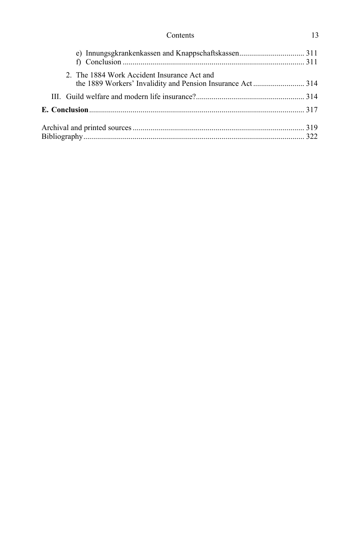| Contents | . .<br>__ |
|----------|-----------|
|----------|-----------|

| 2. The 1884 Work Accident Insurance Act and |  |
|---------------------------------------------|--|
|                                             |  |
|                                             |  |
|                                             |  |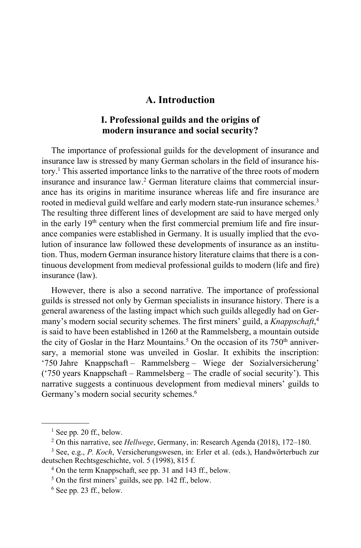#### **A. Introduction**

#### **I. Professional guilds and the origins of modern insurance and social security?**

The importance of professional guilds for the development of insurance and insurance law is stressed by many German scholars in the field of insurance history.1 This asserted importance links to the narrative of the three roots of modern insurance and insurance law.2 German literature claims that commercial insurance has its origins in maritime insurance whereas life and fire insurance are rooted in medieval guild welfare and early modern state-run insurance schemes.<sup>3</sup> The resulting three different lines of development are said to have merged only in the early  $19<sup>th</sup>$  century when the first commercial premium life and fire insurance companies were established in Germany. It is usually implied that the evolution of insurance law followed these developments of insurance as an institution. Thus, modern German insurance history literature claims that there is a continuous development from medieval professional guilds to modern (life and fire) insurance (law).

However, there is also a second narrative. The importance of professional guilds is stressed not only by German specialists in insurance history. There is a general awareness of the lasting impact which such guilds allegedly had on Germany's modern social security schemes. The first miners' guild, a *Knappschaft*, 4 is said to have been established in 1260 at the Rammelsberg, a mountain outside the city of Goslar in the Harz Mountains.<sup>5</sup> On the occasion of its  $750<sup>th</sup>$  anniversary, a memorial stone was unveiled in Goslar. It exhibits the inscription: '750 Jahre Knappschaft – Rammelsberg – Wiege der Sozialversicherung' ('750 years Knappschaft – Rammelsberg – The cradle of social security'). This narrative suggests a continuous development from medieval miners' guilds to Germany's modern social security schemes.<sup>6</sup>

 $\frac{1}{2}$ 

 $<sup>1</sup>$  See pp. 20 ff., below.</sup>

<sup>2</sup> On this narrative, see *Hellwege*, Germany, in: Research Agenda (2018), 172–180. 3 See, e.g., *P. Koch*, Versicherungswesen, in: Erler et al. (eds.), Handwörterbuch zur

deutschen Rechtsgeschichte, vol. 5 (1998), 815 f.<br><sup>4</sup> On the term Knappschaft, see pp. 31 and 143 ff., below.

<sup>5</sup> On the first miners' guilds, see pp. 142 ff., below.

 $6$  See pp. 23 ff., below.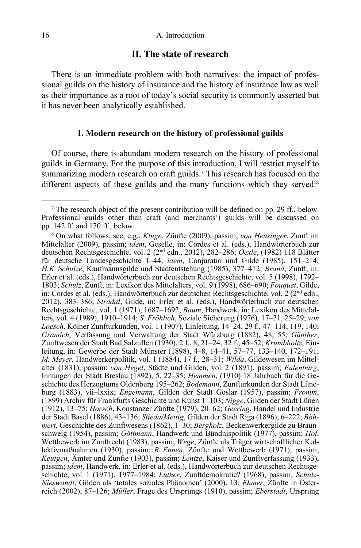#### **II. The state of research**

There is an immediate problem with both narratives: the impact of professional guilds on the history of insurance and the history of insurance law as well as their importance as a root of today's social security is commonly asserted but it has never been analytically established.

#### **1. Modern research on the history of professional guilds**

Of course, there is abundant modern research on the history of professional guilds in Germany. For the purpose of this introduction, I will restrict myself to summarizing modern research on craft guilds.<sup>7</sup> This research has focused on the different aspects of these guilds and the many functions which they served:<sup>8</sup>

 $\mathcal{L}$  and  $\mathcal{L}$ 

 $7$  The research object of the present contribution will be defined on pp. 29 ff., below. Professional guilds other than craft (and merchants') guilds will be discussed on pp. 142 ff. and 170 ff., below. 8

On what follows, see, e.g., *Kluge*, Zünfte (2009), passim; *von Heusinger*, Zunft im Mittelalter (2009), passim; *idem*, Geselle, in: Cordes et al. (eds.), Handwörterbuch zur deutschen Rechtsgeschichte, vol. 2 (2nd edn., 2012), 282–286; *Oexle*, (1982) 118 Blätter für deutsche Landesgeschichte 1–44; *idem*, Conjuratio und Gilde (1985), 151–214; *H.K. Schulze*, Kaufmannsgilde und Stadtentstehung (1985), 377–412; *Brand*, Zunft, in: Erler et al. (eds.), Handwörterbuch zur deutschen Rechtsgeschichte, vol. 5 (1998), 1792– 1803; *Schulz*, Zunft, in: Lexikon des Mittelalters, vol. 9 (1998), 686–690; *Fouquet*, Gilde, in: Cordes et al. (eds.), Handwörterbuch zur deutschen Rechtsgeschichte, vol.  $2(2<sup>nd</sup>$ edn., 2012), 383–386; *Stradal*, Gilde, in: Erler et al. (eds.), Handwörterbuch zur deutschen Rechtsgeschichte, vol. 1 (1971), 1687–1692; *Baum*, Handwerk, in: Lexikon des Mittelalters, vol. 4 (1989), 1910–1914; *S. Fröhlich*, Soziale Sicherung (1976), 17–21, 25–29; *von Loesch*, Kölner Zunfturkunden, vol. 1 (1907), Einleitung, 14–24, 29 f., 47–114, 119, 140; *Gramich*, Verfassung und Verwaltung der Stadt Würzburg (1882), 48, 55; *Günther*, Zunftwesen der Stadt Bad Salzuflen (1930), 2 f., 8, 21–24, 32 f., 45–52; *Krumbholtz*, Einleitung, in: Gewerbe der Stadt Münster (1898), 4–8, 14–41, 57–77, 133–140, 172–191; *M. Meyer*, Handwerkerpolitik, vol. 1 (1884), 17 f., 28–31; *Wilda*, Gildewesen im Mittelalter (1831), passim; *von Hegel*, Städte und Gilden, vol. 2 (1891), passim; *Eulenburg*, Innungen der Stadt Breslau (1892), 5, 22–35; *Hemmen*, (1910) 18 Jahrbuch für die Geschichte des Herzogtums Oldenburg 195–262; *Bodemann*, Zunfturkunden der Stadt Lüneburg (1883), vii–lxxix; *Engemann*, Gilden der Stadt Goslar (1957), passim; *Fromm*, (1899) Archiv für Frankfurts Geschichte und Kunst 1–103; *Nigge*, Gilden der Stadt Lünen (1912), 13–75; *Horsch*, Konstanzer Zünfte (1979), 20–62; *Geering*, Handel und Industrie der Stadt Basel (1886), 43–136; *Stieda/Mettig*, Gilden der Stadt Riga (1896), 6–222; *Böhmert*, Geschichte des Zunftwesens (1862), 1–30; *Bergholz*, Beckenwerkergilde zu Braunschweig (1954), passim; *Göttmann*, Handwerk und Bündnispolitik (1977), passim; *Hof*, Wettbewerb im Zunftrecht (1983), passim; *Wege*, Zünfte als Träger wirtschaftlicher Kollektivmaßnahmen (1930), passim; *R. Ennen*, Zünfte und Wettbewerb (1971), passim; *Keutgen*, Ämter und Zünfte (1903), passim; *Lentze*, Kaiser und Zunftverfassung (1933), passim; *idem*, Handwerk, in: Erler et al. (eds.), Handwörterbuch zur deutschen Rechtsgeschichte, vol. 1 (1971), 1977–1984; *Luther*, Zunftdemokratie? (1968), passim; *Schulz-Nieswandt*, Gilden als 'totales soziales Phänomen' (2000), 13; *Ehmer*, Zünfte in Österreich (2002), 87–126; *Müller*, Frage des Ursprungs (1910), passim; *Eberstadt*, Ursprung